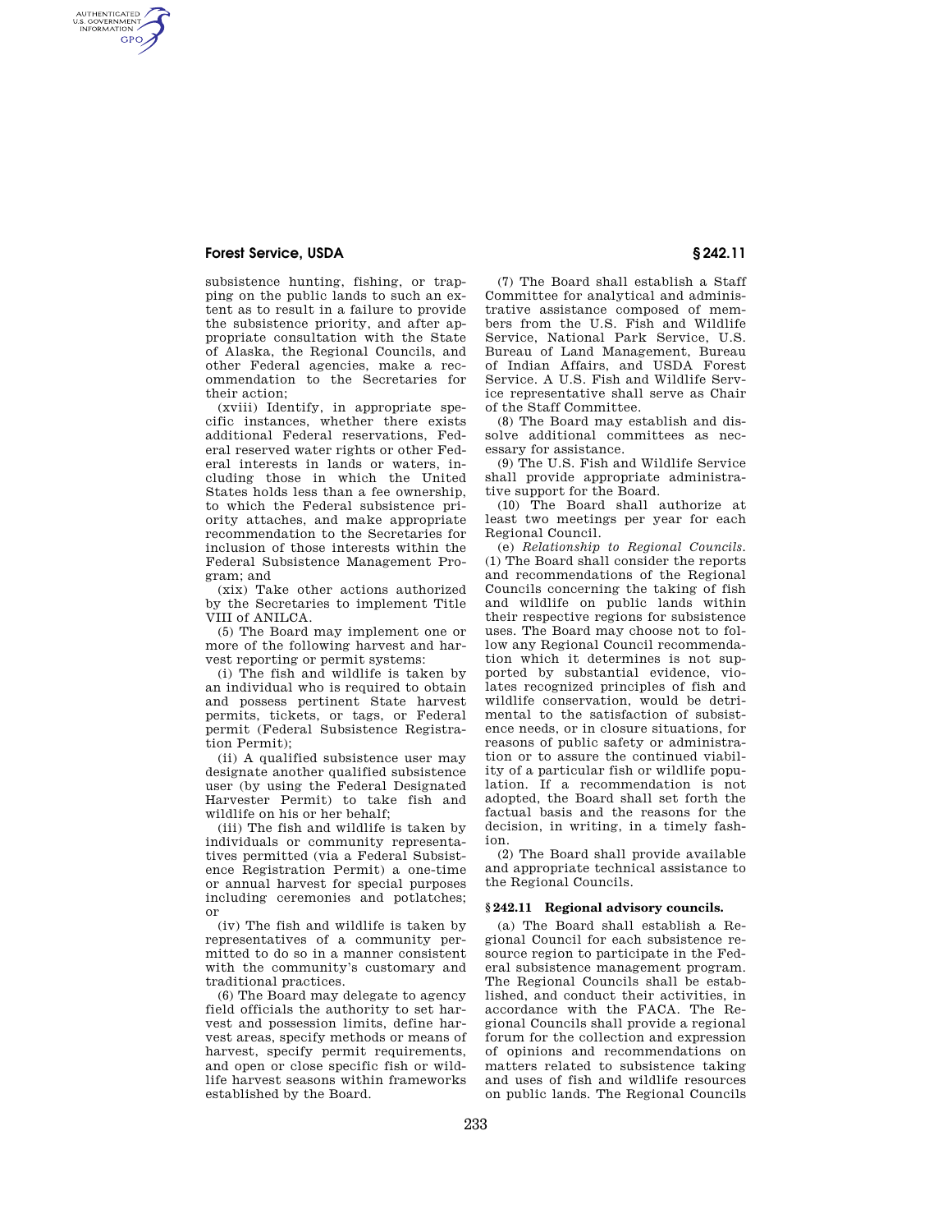# **Forest Service, USDA § 242.11**

AUTHENTICATED<br>U.S. GOVERNMENT<br>INFORMATION **GPO** 

> subsistence hunting, fishing, or trapping on the public lands to such an extent as to result in a failure to provide the subsistence priority, and after appropriate consultation with the State of Alaska, the Regional Councils, and other Federal agencies, make a recommendation to the Secretaries for their action;

> (xviii) Identify, in appropriate specific instances, whether there exists additional Federal reservations, Federal reserved water rights or other Federal interests in lands or waters, including those in which the United States holds less than a fee ownership, to which the Federal subsistence priority attaches, and make appropriate recommendation to the Secretaries for inclusion of those interests within the Federal Subsistence Management Program; and

> (xix) Take other actions authorized by the Secretaries to implement Title VIII of ANILCA.

> (5) The Board may implement one or more of the following harvest and harvest reporting or permit systems:

> (i) The fish and wildlife is taken by an individual who is required to obtain and possess pertinent State harvest permits, tickets, or tags, or Federal permit (Federal Subsistence Registration Permit);

> (ii) A qualified subsistence user may designate another qualified subsistence user (by using the Federal Designated Harvester Permit) to take fish and wildlife on his or her behalf;

> (iii) The fish and wildlife is taken by individuals or community representatives permitted (via a Federal Subsistence Registration Permit) a one-time or annual harvest for special purposes including ceremonies and potlatches; or

> (iv) The fish and wildlife is taken by representatives of a community permitted to do so in a manner consistent with the community's customary and traditional practices.

> (6) The Board may delegate to agency field officials the authority to set harvest and possession limits, define harvest areas, specify methods or means of harvest, specify permit requirements, and open or close specific fish or wildlife harvest seasons within frameworks established by the Board.

(7) The Board shall establish a Staff Committee for analytical and administrative assistance composed of members from the U.S. Fish and Wildlife Service, National Park Service, U.S. Bureau of Land Management, Bureau of Indian Affairs, and USDA Forest Service. A U.S. Fish and Wildlife Service representative shall serve as Chair of the Staff Committee.

(8) The Board may establish and dissolve additional committees as necessary for assistance.

(9) The U.S. Fish and Wildlife Service shall provide appropriate administrative support for the Board.

(10) The Board shall authorize at least two meetings per year for each Regional Council.

(e) *Relationship to Regional Councils.*  (1) The Board shall consider the reports and recommendations of the Regional Councils concerning the taking of fish and wildlife on public lands within their respective regions for subsistence uses. The Board may choose not to follow any Regional Council recommendation which it determines is not supported by substantial evidence, violates recognized principles of fish and wildlife conservation, would be detrimental to the satisfaction of subsistence needs, or in closure situations, for reasons of public safety or administration or to assure the continued viability of a particular fish or wildlife population. If a recommendation is not adopted, the Board shall set forth the factual basis and the reasons for the decision, in writing, in a timely fashion.

(2) The Board shall provide available and appropriate technical assistance to the Regional Councils.

# **§ 242.11 Regional advisory councils.**

(a) The Board shall establish a Regional Council for each subsistence resource region to participate in the Federal subsistence management program. The Regional Councils shall be established, and conduct their activities, in accordance with the FACA. The Regional Councils shall provide a regional forum for the collection and expression of opinions and recommendations on matters related to subsistence taking and uses of fish and wildlife resources on public lands. The Regional Councils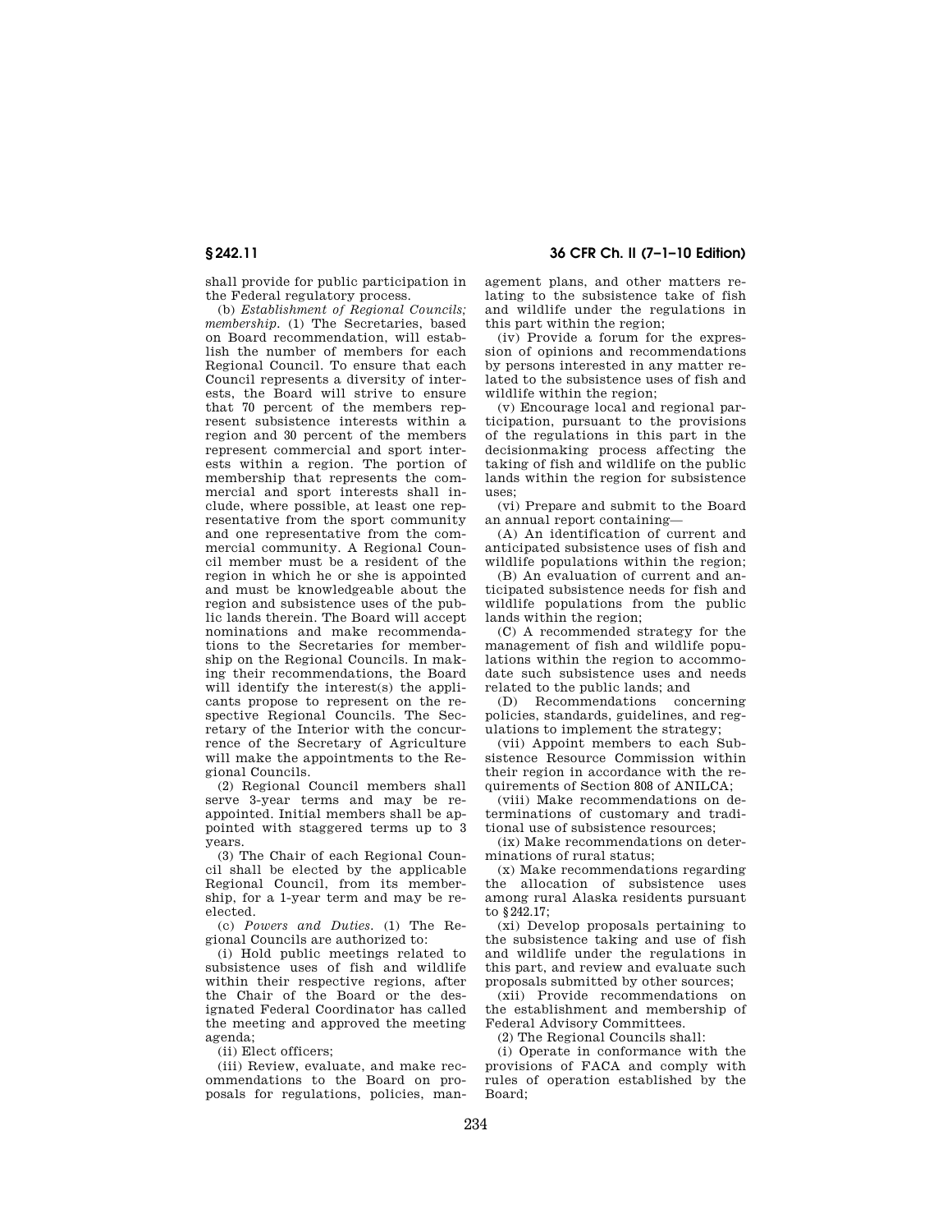## **§ 242.11 36 CFR Ch. II (7–1–10 Edition)**

shall provide for public participation in the Federal regulatory process.

(b) *Establishment of Regional Councils; membership.* (1) The Secretaries, based on Board recommendation, will establish the number of members for each Regional Council. To ensure that each Council represents a diversity of interests, the Board will strive to ensure that 70 percent of the members represent subsistence interests within a region and 30 percent of the members represent commercial and sport interests within a region. The portion of membership that represents the commercial and sport interests shall include, where possible, at least one representative from the sport community and one representative from the commercial community. A Regional Council member must be a resident of the region in which he or she is appointed and must be knowledgeable about the region and subsistence uses of the public lands therein. The Board will accept nominations and make recommendations to the Secretaries for membership on the Regional Councils. In making their recommendations, the Board will identify the interest(s) the applicants propose to represent on the respective Regional Councils. The Secretary of the Interior with the concurrence of the Secretary of Agriculture will make the appointments to the Regional Councils.

(2) Regional Council members shall serve 3-year terms and may be reappointed. Initial members shall be appointed with staggered terms up to 3 years.

(3) The Chair of each Regional Council shall be elected by the applicable Regional Council, from its membership, for a 1-year term and may be reelected.

(c) *Powers and Duties.* (1) The Regional Councils are authorized to:

(i) Hold public meetings related to subsistence uses of fish and wildlife within their respective regions, after the Chair of the Board or the designated Federal Coordinator has called the meeting and approved the meeting agenda;

(ii) Elect officers;

(iii) Review, evaluate, and make recommendations to the Board on proposals for regulations, policies, management plans, and other matters relating to the subsistence take of fish and wildlife under the regulations in this part within the region;

(iv) Provide a forum for the expression of opinions and recommendations by persons interested in any matter related to the subsistence uses of fish and wildlife within the region;

(v) Encourage local and regional participation, pursuant to the provisions of the regulations in this part in the decisionmaking process affecting the taking of fish and wildlife on the public lands within the region for subsistence uses;

(vi) Prepare and submit to the Board an annual report containing—

(A) An identification of current and anticipated subsistence uses of fish and wildlife populations within the region;

(B) An evaluation of current and anticipated subsistence needs for fish and wildlife populations from the public lands within the region;

(C) A recommended strategy for the management of fish and wildlife populations within the region to accommodate such subsistence uses and needs related to the public lands; and

(D) Recommendations concerning policies, standards, guidelines, and regulations to implement the strategy;

(vii) Appoint members to each Subsistence Resource Commission within their region in accordance with the requirements of Section 808 of ANILCA;

(viii) Make recommendations on determinations of customary and traditional use of subsistence resources;

(ix) Make recommendations on determinations of rural status;

(x) Make recommendations regarding the allocation of subsistence uses among rural Alaska residents pursuant to  $8242.17$ 

(xi) Develop proposals pertaining to the subsistence taking and use of fish and wildlife under the regulations in this part, and review and evaluate such proposals submitted by other sources;

(xii) Provide recommendations on the establishment and membership of Federal Advisory Committees.

(2) The Regional Councils shall:

(i) Operate in conformance with the provisions of FACA and comply with rules of operation established by the Board;